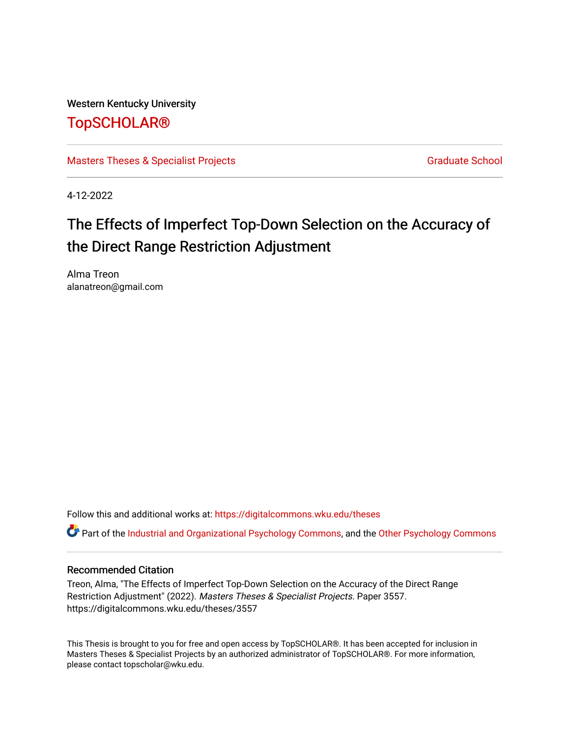Western Kentucky University

## [TopSCHOLAR®](https://digitalcommons.wku.edu/)

[Masters Theses & Specialist Projects](https://digitalcommons.wku.edu/theses) [Graduate School](https://digitalcommons.wku.edu/Graduate) Graduate School

4-12-2022

# The Effects of Imperfect Top-Down Selection on the Accuracy of the Direct Range Restriction Adjustment

Alma Treon alanatreon@gmail.com

Follow this and additional works at: [https://digitalcommons.wku.edu/theses](https://digitalcommons.wku.edu/theses?utm_source=digitalcommons.wku.edu%2Ftheses%2F3557&utm_medium=PDF&utm_campaign=PDFCoverPages) 

Part of the [Industrial and Organizational Psychology Commons,](http://network.bepress.com/hgg/discipline/412?utm_source=digitalcommons.wku.edu%2Ftheses%2F3557&utm_medium=PDF&utm_campaign=PDFCoverPages) and the [Other Psychology Commons](http://network.bepress.com/hgg/discipline/415?utm_source=digitalcommons.wku.edu%2Ftheses%2F3557&utm_medium=PDF&utm_campaign=PDFCoverPages)

## Recommended Citation

Treon, Alma, "The Effects of Imperfect Top-Down Selection on the Accuracy of the Direct Range Restriction Adjustment" (2022). Masters Theses & Specialist Projects. Paper 3557. https://digitalcommons.wku.edu/theses/3557

This Thesis is brought to you for free and open access by TopSCHOLAR®. It has been accepted for inclusion in Masters Theses & Specialist Projects by an authorized administrator of TopSCHOLAR®. For more information, please contact topscholar@wku.edu.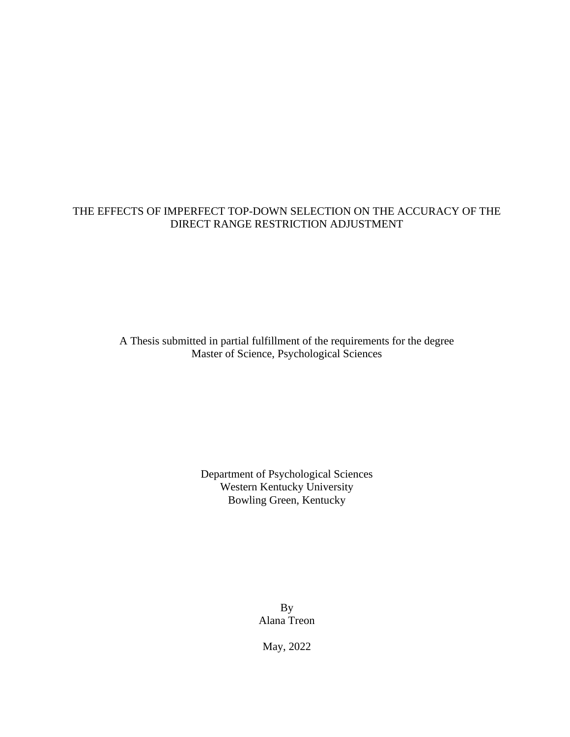## THE EFFECTS OF IMPERFECT TOP-DOWN SELECTION ON THE ACCURACY OF THE DIRECT RANGE RESTRICTION ADJUSTMENT

A Thesis submitted in partial fulfillment of the requirements for the degree Master of Science, Psychological Sciences

> Department of Psychological Sciences Western Kentucky University Bowling Green, Kentucky

> > By Alana Treon

May, 2022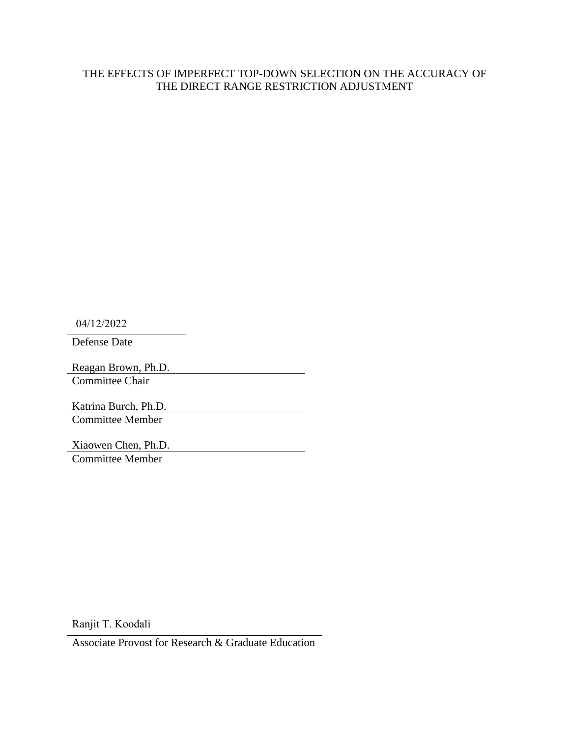## THE EFFECTS OF IMPERFECT TOP-DOWN SELECTION ON THE ACCURACY OF THE DIRECT RANGE RESTRICTION ADJUSTMENT

04/12/2022

Defense Date

Reagan Brown, Ph.D. Committee Chair

Katrina Burch, Ph.D. Committee Member

Xiaowen Chen, Ph.D. Committee Member

Ranjit T. Koodali

Associate Provost for Research & Graduate Education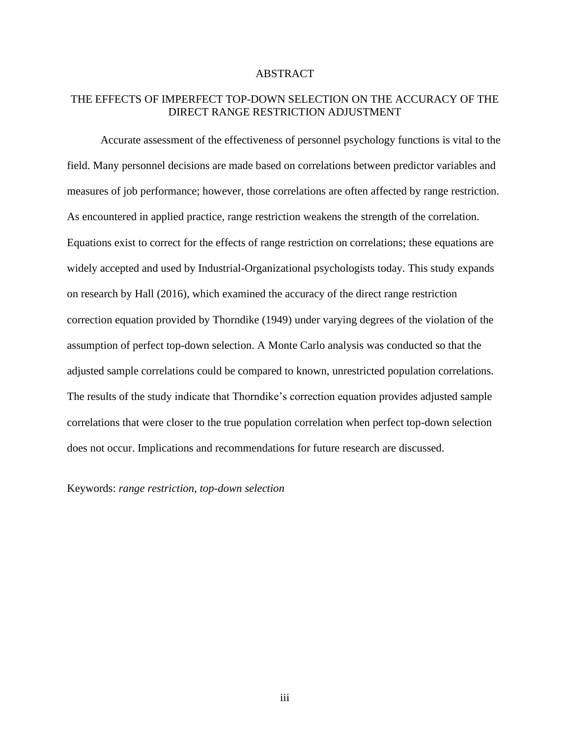## ABSTRACT

## THE EFFECTS OF IMPERFECT TOP-DOWN SELECTION ON THE ACCURACY OF THE DIRECT RANGE RESTRICTION ADJUSTMENT

Accurate assessment of the effectiveness of personnel psychology functions is vital to the field. Many personnel decisions are made based on correlations between predictor variables and measures of job performance; however, those correlations are often affected by range restriction. As encountered in applied practice, range restriction weakens the strength of the correlation. Equations exist to correct for the effects of range restriction on correlations; these equations are widely accepted and used by Industrial-Organizational psychologists today. This study expands on research by Hall (2016), which examined the accuracy of the direct range restriction correction equation provided by Thorndike (1949) under varying degrees of the violation of the assumption of perfect top-down selection. A Monte Carlo analysis was conducted so that the adjusted sample correlations could be compared to known, unrestricted population correlations. The results of the study indicate that Thorndike's correction equation provides adjusted sample correlations that were closer to the true population correlation when perfect top-down selection does not occur. Implications and recommendations for future research are discussed.

Keywords: *range restriction, top-down selection*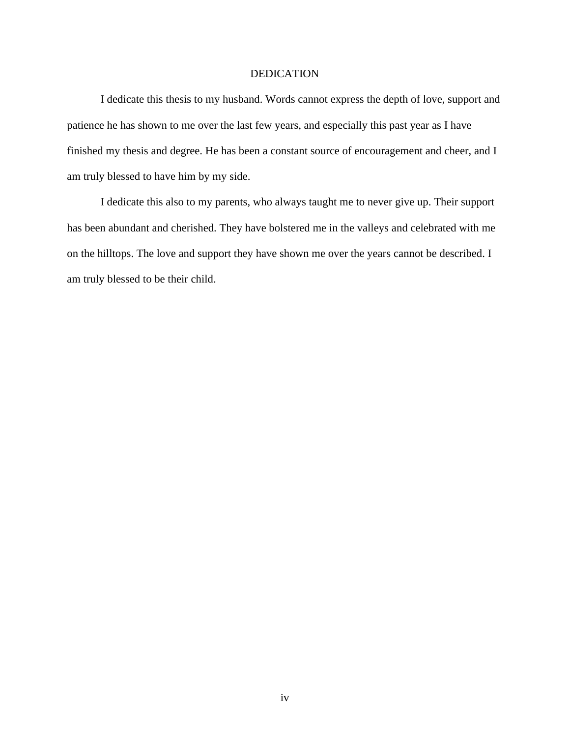#### DEDICATION

I dedicate this thesis to my husband. Words cannot express the depth of love, support and patience he has shown to me over the last few years, and especially this past year as I have finished my thesis and degree. He has been a constant source of encouragement and cheer, and I am truly blessed to have him by my side.

I dedicate this also to my parents, who always taught me to never give up. Their support has been abundant and cherished. They have bolstered me in the valleys and celebrated with me on the hilltops. The love and support they have shown me over the years cannot be described. I am truly blessed to be their child.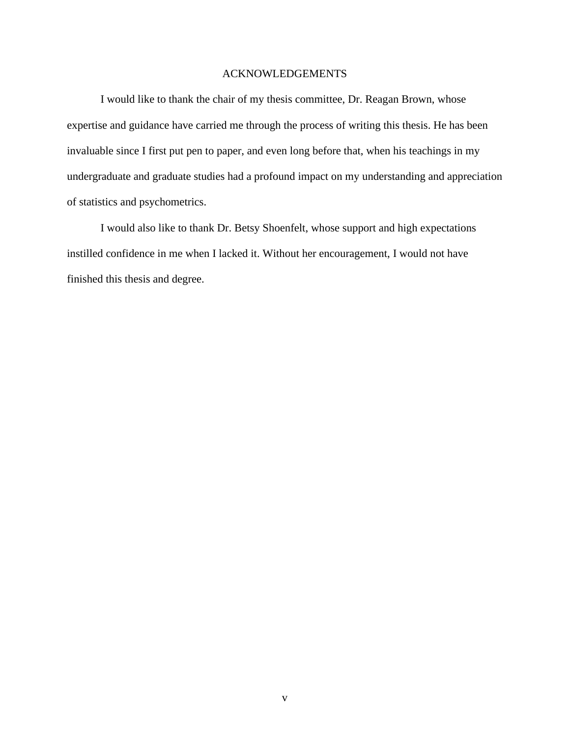#### ACKNOWLEDGEMENTS

I would like to thank the chair of my thesis committee, Dr. Reagan Brown, whose expertise and guidance have carried me through the process of writing this thesis. He has been invaluable since I first put pen to paper, and even long before that, when his teachings in my undergraduate and graduate studies had a profound impact on my understanding and appreciation of statistics and psychometrics.

I would also like to thank Dr. Betsy Shoenfelt, whose support and high expectations instilled confidence in me when I lacked it. Without her encouragement, I would not have finished this thesis and degree.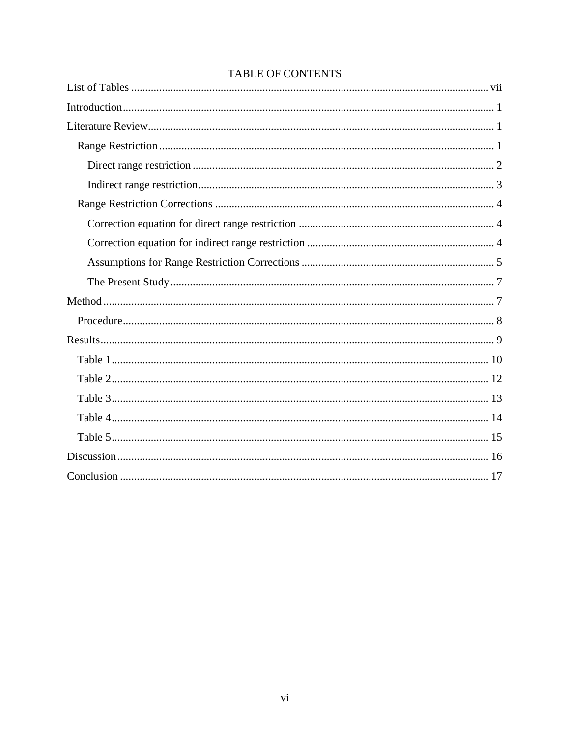## TABLE OF CONTENTS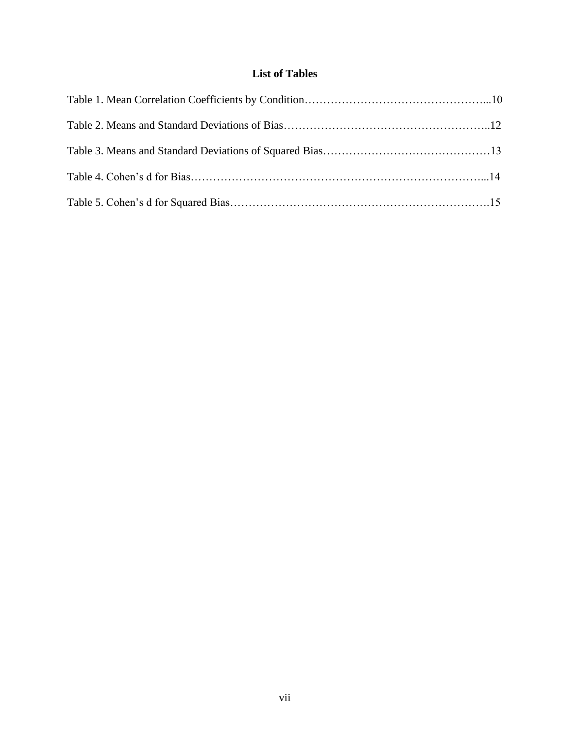## **List of Tables**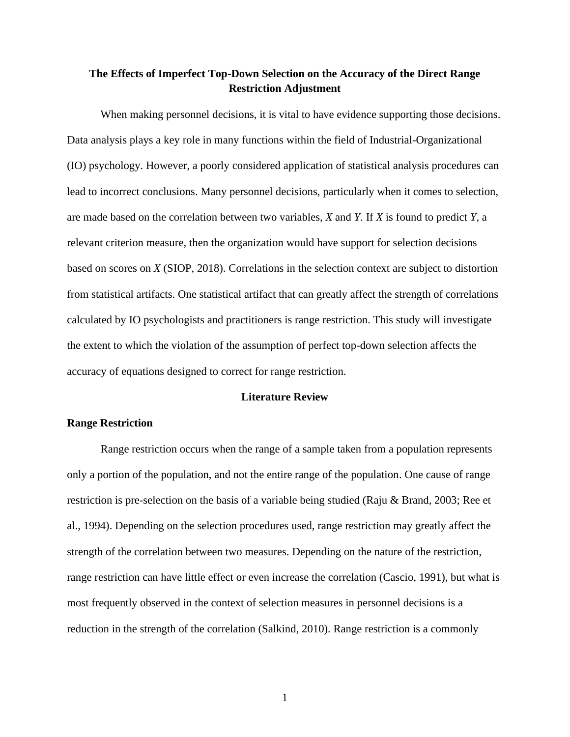## **The Effects of Imperfect Top-Down Selection on the Accuracy of the Direct Range Restriction Adjustment**

When making personnel decisions, it is vital to have evidence supporting those decisions. Data analysis plays a key role in many functions within the field of Industrial-Organizational (IO) psychology. However, a poorly considered application of statistical analysis procedures can lead to incorrect conclusions. Many personnel decisions, particularly when it comes to selection, are made based on the correlation between two variables, *X* and *Y*. If *X* is found to predict *Y*, a relevant criterion measure, then the organization would have support for selection decisions based on scores on *X* (SIOP, 2018). Correlations in the selection context are subject to distortion from statistical artifacts. One statistical artifact that can greatly affect the strength of correlations calculated by IO psychologists and practitioners is range restriction. This study will investigate the extent to which the violation of the assumption of perfect top-down selection affects the accuracy of equations designed to correct for range restriction.

## **Literature Review**

#### **Range Restriction**

Range restriction occurs when the range of a sample taken from a population represents only a portion of the population, and not the entire range of the population. One cause of range restriction is pre-selection on the basis of a variable being studied (Raju & Brand, 2003; Ree et al., 1994). Depending on the selection procedures used, range restriction may greatly affect the strength of the correlation between two measures. Depending on the nature of the restriction, range restriction can have little effect or even increase the correlation (Cascio, 1991), but what is most frequently observed in the context of selection measures in personnel decisions is a reduction in the strength of the correlation (Salkind, 2010). Range restriction is a commonly

1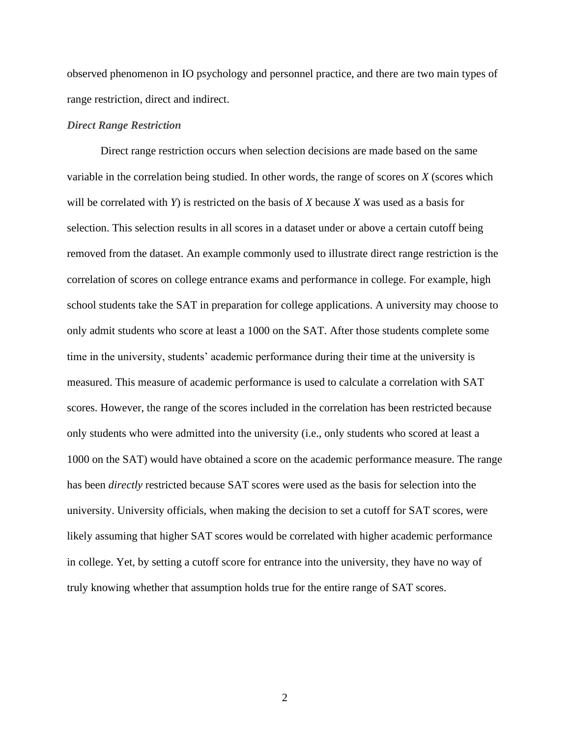observed phenomenon in IO psychology and personnel practice, and there are two main types of range restriction, direct and indirect.

#### *Direct Range Restriction*

Direct range restriction occurs when selection decisions are made based on the same variable in the correlation being studied. In other words, the range of scores on *X* (scores which will be correlated with *Y*) is restricted on the basis of *X* because *X* was used as a basis for selection. This selection results in all scores in a dataset under or above a certain cutoff being removed from the dataset. An example commonly used to illustrate direct range restriction is the correlation of scores on college entrance exams and performance in college. For example, high school students take the SAT in preparation for college applications. A university may choose to only admit students who score at least a 1000 on the SAT. After those students complete some time in the university, students' academic performance during their time at the university is measured. This measure of academic performance is used to calculate a correlation with SAT scores. However, the range of the scores included in the correlation has been restricted because only students who were admitted into the university (i.e., only students who scored at least a 1000 on the SAT) would have obtained a score on the academic performance measure. The range has been *directly* restricted because SAT scores were used as the basis for selection into the university. University officials, when making the decision to set a cutoff for SAT scores, were likely assuming that higher SAT scores would be correlated with higher academic performance in college. Yet, by setting a cutoff score for entrance into the university, they have no way of truly knowing whether that assumption holds true for the entire range of SAT scores.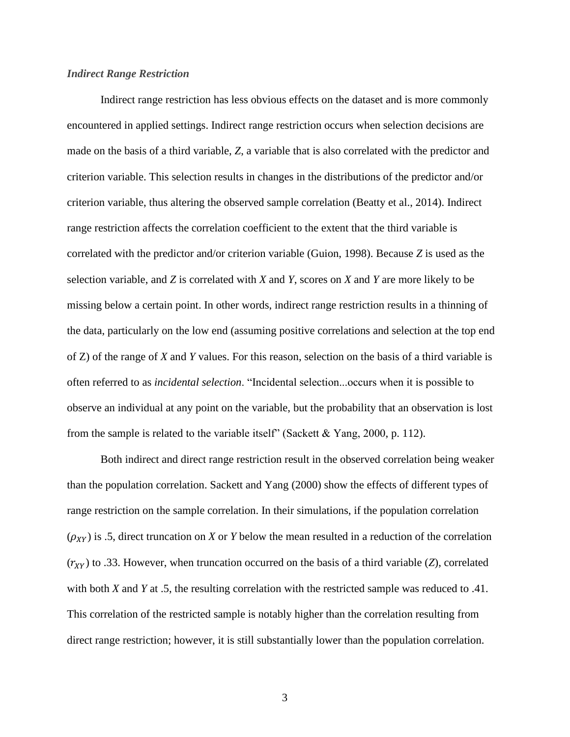#### *Indirect Range Restriction*

Indirect range restriction has less obvious effects on the dataset and is more commonly encountered in applied settings. Indirect range restriction occurs when selection decisions are made on the basis of a third variable, *Z*, a variable that is also correlated with the predictor and criterion variable. This selection results in changes in the distributions of the predictor and/or criterion variable, thus altering the observed sample correlation (Beatty et al., 2014). Indirect range restriction affects the correlation coefficient to the extent that the third variable is correlated with the predictor and/or criterion variable (Guion, 1998). Because *Z* is used as the selection variable, and *Z* is correlated with *X* and *Y*, scores on *X* and *Y* are more likely to be missing below a certain point. In other words, indirect range restriction results in a thinning of the data, particularly on the low end (assuming positive correlations and selection at the top end of Z) of the range of *X* and *Y* values. For this reason, selection on the basis of a third variable is often referred to as *incidental selection*. "Incidental selection...occurs when it is possible to observe an individual at any point on the variable, but the probability that an observation is lost from the sample is related to the variable itself" (Sackett & Yang, 2000, p. 112).

Both indirect and direct range restriction result in the observed correlation being weaker than the population correlation. Sackett and Yang (2000) show the effects of different types of range restriction on the sample correlation. In their simulations, if the population correlation  $(\rho_{XY})$  is .5, direct truncation on *X* or *Y* below the mean resulted in a reduction of the correlation  $(r_{XY})$  to .33. However, when truncation occurred on the basis of a third variable (*Z*), correlated with both *X* and *Y* at .5, the resulting correlation with the restricted sample was reduced to .41. This correlation of the restricted sample is notably higher than the correlation resulting from direct range restriction; however, it is still substantially lower than the population correlation.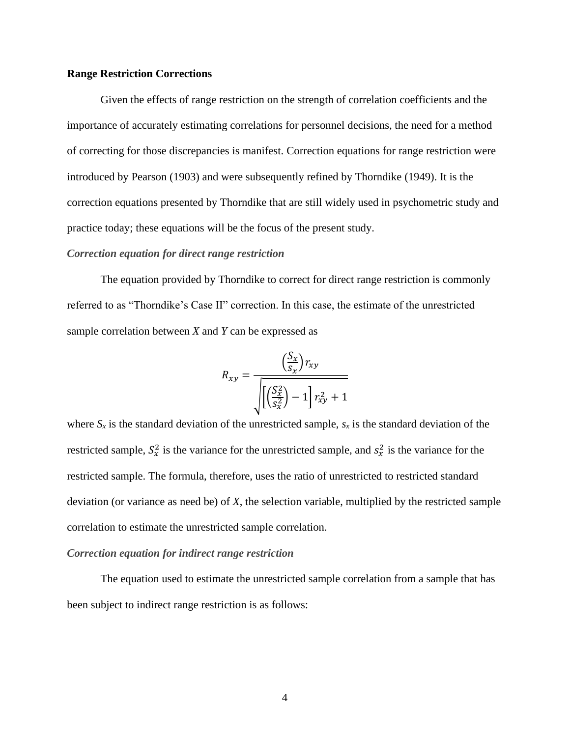#### **Range Restriction Corrections**

Given the effects of range restriction on the strength of correlation coefficients and the importance of accurately estimating correlations for personnel decisions, the need for a method of correcting for those discrepancies is manifest. Correction equations for range restriction were introduced by Pearson (1903) and were subsequently refined by Thorndike (1949). It is the correction equations presented by Thorndike that are still widely used in psychometric study and practice today; these equations will be the focus of the present study.

#### *Correction equation for direct range restriction*

The equation provided by Thorndike to correct for direct range restriction is commonly referred to as "Thorndike's Case II" correction. In this case, the estimate of the unrestricted sample correlation between *X* and *Y* can be expressed as

$$
R_{xy} = \frac{\left(\frac{S_x}{S_x}\right) r_{xy}}{\sqrt{\left[\left(\frac{S_x^2}{S_x^2}\right) - 1\right] r_{xy}^2 + 1}}
$$

where  $S_x$  is the standard deviation of the unrestricted sample,  $s_x$  is the standard deviation of the restricted sample,  $S_x^2$  is the variance for the unrestricted sample, and  $S_x^2$  is the variance for the restricted sample. The formula, therefore, uses the ratio of unrestricted to restricted standard deviation (or variance as need be) of *X*, the selection variable, multiplied by the restricted sample correlation to estimate the unrestricted sample correlation.

#### *Correction equation for indirect range restriction*

The equation used to estimate the unrestricted sample correlation from a sample that has been subject to indirect range restriction is as follows: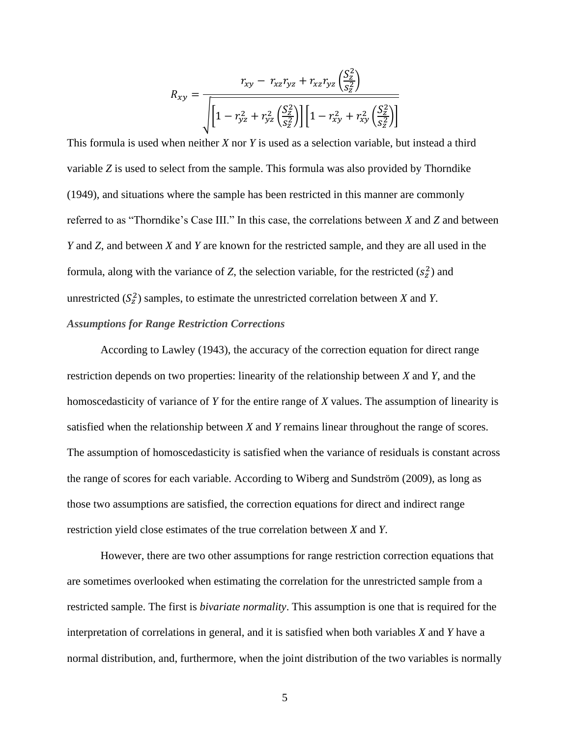$$
R_{xy} = \frac{r_{xy} - r_{xz}r_{yz} + r_{xz}r_{yz}\left(\frac{S_z^2}{S_z^2}\right)}{\sqrt{\left[1 - r_{yz}^2 + r_{yz}^2\left(\frac{S_z^2}{S_z^2}\right)\right]\left[1 - r_{xy}^2 + r_{xy}^2\left(\frac{S_z^2}{S_z^2}\right)\right]}}
$$

This formula is used when neither *X* nor *Y* is used as a selection variable, but instead a third variable *Z* is used to select from the sample. This formula was also provided by Thorndike (1949), and situations where the sample has been restricted in this manner are commonly referred to as "Thorndike's Case III." In this case, the correlations between *X* and *Z* and between *Y* and *Z*, and between *X* and *Y* are known for the restricted sample, and they are all used in the formula, along with the variance of *Z*, the selection variable, for the restricted  $(s_z^2)$  and unrestricted  $(S_z^2)$  samples, to estimate the unrestricted correlation between *X* and *Y*. *Assumptions for Range Restriction Corrections*

According to Lawley (1943), the accuracy of the correction equation for direct range restriction depends on two properties: linearity of the relationship between *X* and *Y*, and the homoscedasticity of variance of *Y* for the entire range of *X* values. The assumption of linearity is satisfied when the relationship between *X* and *Y* remains linear throughout the range of scores. The assumption of homoscedasticity is satisfied when the variance of residuals is constant across the range of scores for each variable. According to Wiberg and Sundström (2009), as long as those two assumptions are satisfied, the correction equations for direct and indirect range restriction yield close estimates of the true correlation between *X* and *Y*.

However, there are two other assumptions for range restriction correction equations that are sometimes overlooked when estimating the correlation for the unrestricted sample from a restricted sample. The first is *bivariate normality*. This assumption is one that is required for the interpretation of correlations in general, and it is satisfied when both variables *X* and *Y* have a normal distribution, and, furthermore, when the joint distribution of the two variables is normally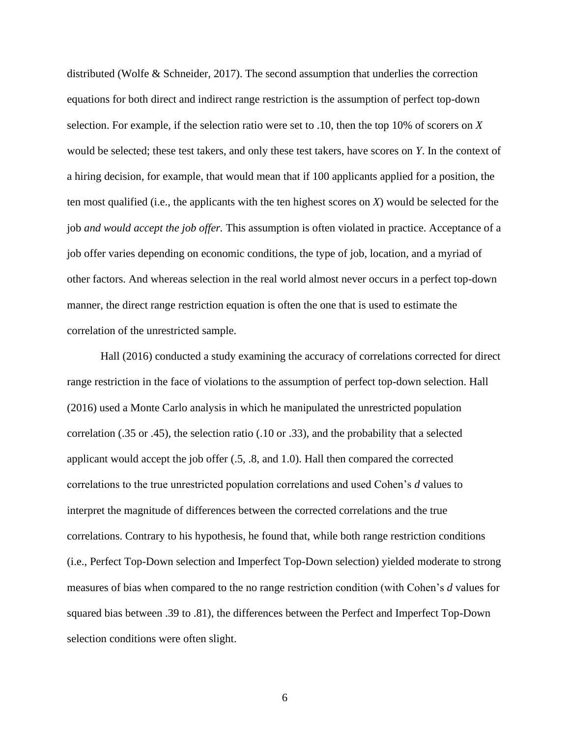distributed (Wolfe & Schneider, 2017). The second assumption that underlies the correction equations for both direct and indirect range restriction is the assumption of perfect top-down selection. For example, if the selection ratio were set to .10, then the top 10% of scorers on *X* would be selected; these test takers, and only these test takers, have scores on *Y*. In the context of a hiring decision, for example, that would mean that if 100 applicants applied for a position, the ten most qualified (i.e., the applicants with the ten highest scores on *X*) would be selected for the job *and would accept the job offer.* This assumption is often violated in practice. Acceptance of a job offer varies depending on economic conditions, the type of job, location, and a myriad of other factors. And whereas selection in the real world almost never occurs in a perfect top-down manner, the direct range restriction equation is often the one that is used to estimate the correlation of the unrestricted sample.

Hall (2016) conducted a study examining the accuracy of correlations corrected for direct range restriction in the face of violations to the assumption of perfect top-down selection. Hall (2016) used a Monte Carlo analysis in which he manipulated the unrestricted population correlation (.35 or .45), the selection ratio (.10 or .33), and the probability that a selected applicant would accept the job offer (.5, .8, and 1.0). Hall then compared the corrected correlations to the true unrestricted population correlations and used Cohen's *d* values to interpret the magnitude of differences between the corrected correlations and the true correlations. Contrary to his hypothesis, he found that, while both range restriction conditions (i.e., Perfect Top-Down selection and Imperfect Top-Down selection) yielded moderate to strong measures of bias when compared to the no range restriction condition (with Cohen's *d* values for squared bias between .39 to .81), the differences between the Perfect and Imperfect Top-Down selection conditions were often slight.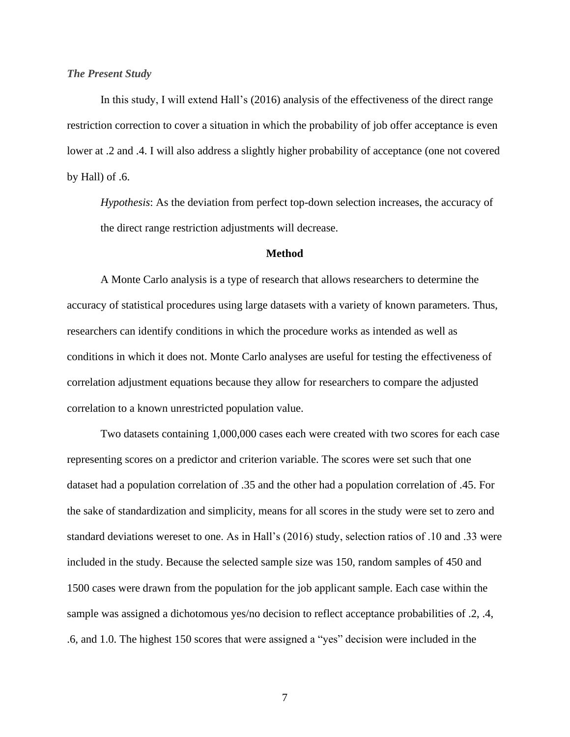#### *The Present Study*

In this study, I will extend Hall's (2016) analysis of the effectiveness of the direct range restriction correction to cover a situation in which the probability of job offer acceptance is even lower at .2 and .4. I will also address a slightly higher probability of acceptance (one not covered by Hall) of .6.

*Hypothesis*: As the deviation from perfect top-down selection increases, the accuracy of the direct range restriction adjustments will decrease.

#### **Method**

A Monte Carlo analysis is a type of research that allows researchers to determine the accuracy of statistical procedures using large datasets with a variety of known parameters. Thus, researchers can identify conditions in which the procedure works as intended as well as conditions in which it does not. Monte Carlo analyses are useful for testing the effectiveness of correlation adjustment equations because they allow for researchers to compare the adjusted correlation to a known unrestricted population value.

Two datasets containing 1,000,000 cases each were created with two scores for each case representing scores on a predictor and criterion variable. The scores were set such that one dataset had a population correlation of .35 and the other had a population correlation of .45. For the sake of standardization and simplicity, means for all scores in the study were set to zero and standard deviations wereset to one. As in Hall's (2016) study, selection ratios of .10 and .33 were included in the study. Because the selected sample size was 150, random samples of 450 and 1500 cases were drawn from the population for the job applicant sample. Each case within the sample was assigned a dichotomous yes/no decision to reflect acceptance probabilities of .2, .4, .6, and 1.0. The highest 150 scores that were assigned a "yes" decision were included in the

7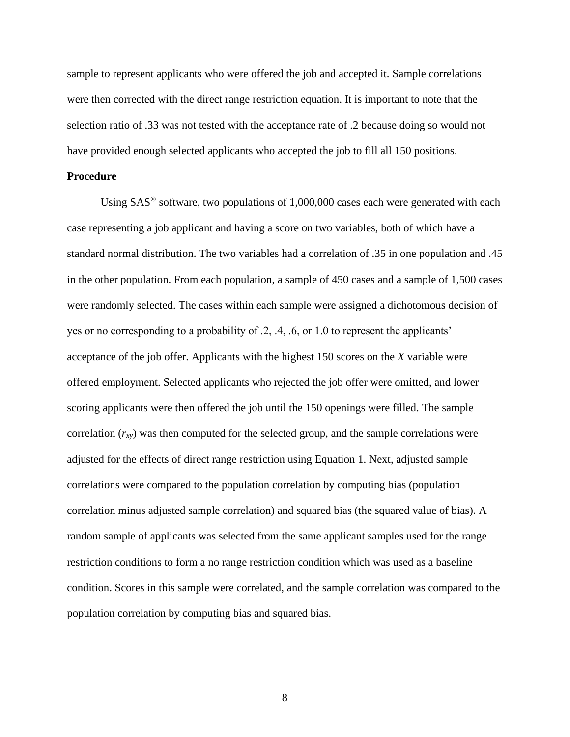sample to represent applicants who were offered the job and accepted it. Sample correlations were then corrected with the direct range restriction equation. It is important to note that the selection ratio of .33 was not tested with the acceptance rate of .2 because doing so would not have provided enough selected applicants who accepted the job to fill all 150 positions.

#### **Procedure**

Using  $SAS^{\circledast}$  software, two populations of 1,000,000 cases each were generated with each case representing a job applicant and having a score on two variables, both of which have a standard normal distribution. The two variables had a correlation of .35 in one population and .45 in the other population. From each population, a sample of 450 cases and a sample of 1,500 cases were randomly selected. The cases within each sample were assigned a dichotomous decision of yes or no corresponding to a probability of .2, .4, .6, or 1.0 to represent the applicants' acceptance of the job offer. Applicants with the highest 150 scores on the *X* variable were offered employment. Selected applicants who rejected the job offer were omitted, and lower scoring applicants were then offered the job until the 150 openings were filled. The sample correlation  $(r_{xy})$  was then computed for the selected group, and the sample correlations were adjusted for the effects of direct range restriction using Equation 1. Next, adjusted sample correlations were compared to the population correlation by computing bias (population correlation minus adjusted sample correlation) and squared bias (the squared value of bias). A random sample of applicants was selected from the same applicant samples used for the range restriction conditions to form a no range restriction condition which was used as a baseline condition. Scores in this sample were correlated, and the sample correlation was compared to the population correlation by computing bias and squared bias.

8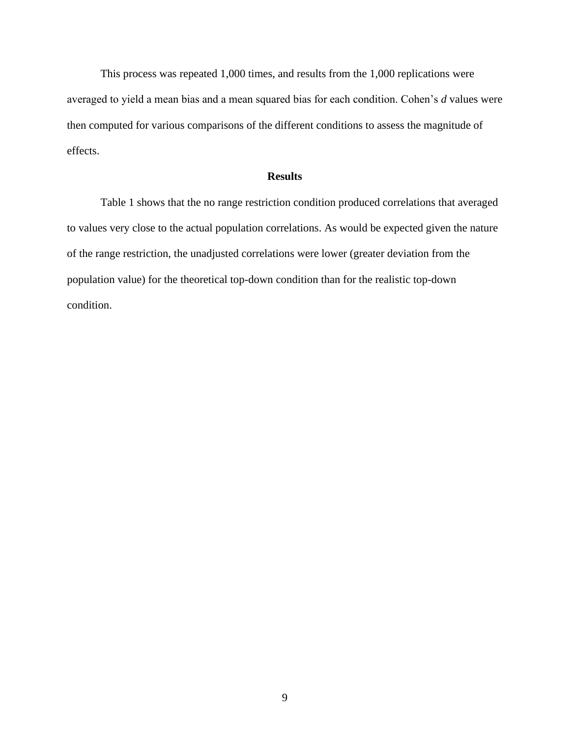This process was repeated 1,000 times, and results from the 1,000 replications were averaged to yield a mean bias and a mean squared bias for each condition. Cohen's *d* values were then computed for various comparisons of the different conditions to assess the magnitude of effects.

## **Results**

Table 1 shows that the no range restriction condition produced correlations that averaged to values very close to the actual population correlations. As would be expected given the nature of the range restriction, the unadjusted correlations were lower (greater deviation from the population value) for the theoretical top-down condition than for the realistic top-down condition.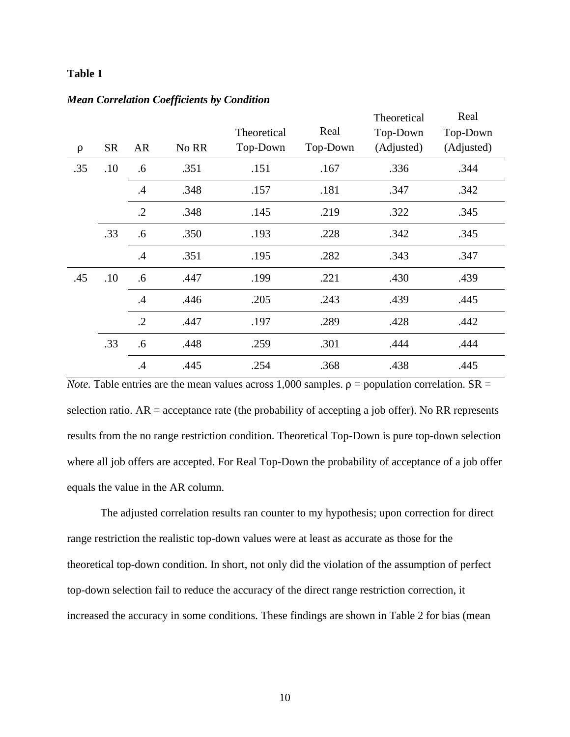## **Table 1**

|        |           |               |       |             |          | Theoretical | Real       |
|--------|-----------|---------------|-------|-------------|----------|-------------|------------|
|        |           |               |       | Theoretical | Real     | Top-Down    | Top-Down   |
| $\rho$ | <b>SR</b> | <b>AR</b>     | No RR | Top-Down    | Top-Down | (Adjusted)  | (Adjusted) |
| .35    | .10       | .6            | .351  | .151        | .167     | .336        | .344       |
|        |           | .4            | .348  | .157        | .181     | .347        | .342       |
|        |           | $\cdot$ .2    | .348  | .145        | .219     | .322        | .345       |
|        | .33       | .6            | .350  | .193        | .228     | .342        | .345       |
|        |           | $\mathcal{A}$ | .351  | .195        | .282     | .343        | .347       |
| .45    | .10       | .6            | .447  | .199        | .221     | .430        | .439       |
|        |           | $\cdot$       | .446  | .205        | .243     | .439        | .445       |
|        |           | $\cdot$ .2    | .447  | .197        | .289     | .428        | .442       |
|        | .33       | .6            | .448  | .259        | .301     | .444        | .444       |
|        |           | .4            | .445  | .254        | .368     | .438        | .445       |

*Note.* Table entries are the mean values across 1,000 samples.  $\rho$  = population correlation. SR = selection ratio.  $AR =$  acceptance rate (the probability of accepting a job offer). No RR represents results from the no range restriction condition. Theoretical Top-Down is pure top-down selection where all job offers are accepted. For Real Top-Down the probability of acceptance of a job offer equals the value in the AR column.

The adjusted correlation results ran counter to my hypothesis; upon correction for direct range restriction the realistic top-down values were at least as accurate as those for the theoretical top-down condition. In short, not only did the violation of the assumption of perfect top-down selection fail to reduce the accuracy of the direct range restriction correction, it increased the accuracy in some conditions. These findings are shown in Table 2 for bias (mean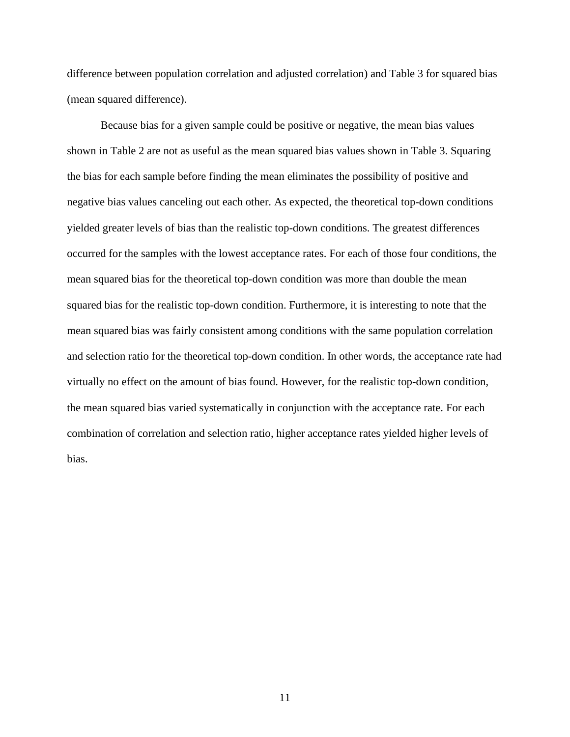difference between population correlation and adjusted correlation) and Table 3 for squared bias (mean squared difference).

Because bias for a given sample could be positive or negative, the mean bias values shown in Table 2 are not as useful as the mean squared bias values shown in Table 3. Squaring the bias for each sample before finding the mean eliminates the possibility of positive and negative bias values canceling out each other. As expected, the theoretical top-down conditions yielded greater levels of bias than the realistic top-down conditions. The greatest differences occurred for the samples with the lowest acceptance rates. For each of those four conditions, the mean squared bias for the theoretical top-down condition was more than double the mean squared bias for the realistic top-down condition. Furthermore, it is interesting to note that the mean squared bias was fairly consistent among conditions with the same population correlation and selection ratio for the theoretical top-down condition. In other words, the acceptance rate had virtually no effect on the amount of bias found. However, for the realistic top-down condition, the mean squared bias varied systematically in conjunction with the acceptance rate. For each combination of correlation and selection ratio, higher acceptance rates yielded higher levels of bias.

11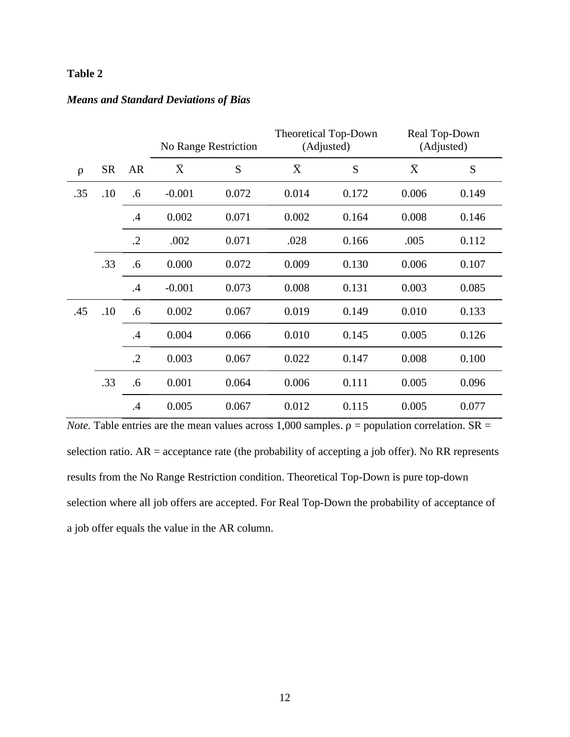## **Table 2**

## *Means and Standard Deviations of Bias*

|        |           |            | No Range Restriction |       | <b>Theoretical Top-Down</b><br>(Adjusted) |       | Real Top-Down<br>(Adjusted) |       |
|--------|-----------|------------|----------------------|-------|-------------------------------------------|-------|-----------------------------|-------|
| $\rho$ | <b>SR</b> | <b>AR</b>  | $\bar{X}$            | S     | $\bar{X}$                                 | S     | $\bar{X}$                   | S     |
| .35    | .10       | .6         | $-0.001$             | 0.072 | 0.014                                     | 0.172 | 0.006                       | 0.149 |
|        |           | .4         | 0.002                | 0.071 | 0.002                                     | 0.164 | 0.008                       | 0.146 |
|        |           | $\cdot$ .2 | .002                 | 0.071 | .028                                      | 0.166 | .005                        | 0.112 |
|        | .33       | .6         | 0.000                | 0.072 | 0.009                                     | 0.130 | 0.006                       | 0.107 |
|        |           | $\cdot$    | $-0.001$             | 0.073 | 0.008                                     | 0.131 | 0.003                       | 0.085 |
| .45    | .10       | .6         | 0.002                | 0.067 | 0.019                                     | 0.149 | 0.010                       | 0.133 |
|        |           | .4         | 0.004                | 0.066 | 0.010                                     | 0.145 | 0.005                       | 0.126 |
|        |           | $\cdot$ .2 | 0.003                | 0.067 | 0.022                                     | 0.147 | 0.008                       | 0.100 |
|        | .33       | .6         | 0.001                | 0.064 | 0.006                                     | 0.111 | 0.005                       | 0.096 |
|        |           | .4         | 0.005                | 0.067 | 0.012                                     | 0.115 | 0.005                       | 0.077 |

*Note.* Table entries are the mean values across 1,000 samples.  $\rho$  = population correlation. SR = selection ratio.  $AR =$  acceptance rate (the probability of accepting a job offer). No RR represents results from the No Range Restriction condition. Theoretical Top-Down is pure top-down selection where all job offers are accepted. For Real Top-Down the probability of acceptance of a job offer equals the value in the AR column.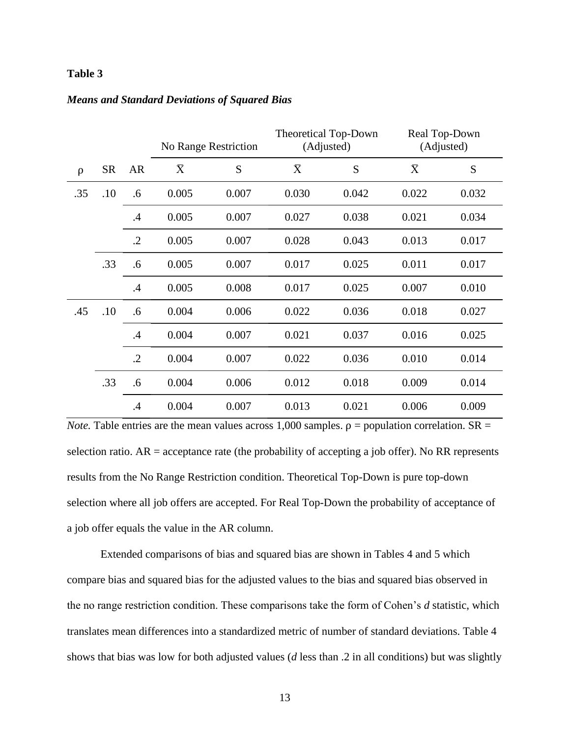## **Table 3**

|     |           |            | No Range Restriction |       | <b>Theoretical Top-Down</b><br>(Adjusted) |       | Real Top-Down<br>(Adjusted) |       |
|-----|-----------|------------|----------------------|-------|-------------------------------------------|-------|-----------------------------|-------|
| ρ   | <b>SR</b> | <b>AR</b>  | $\bar{X}$            | S     | $\bar{X}$                                 | S     | $\bar{X}$                   | S     |
| .35 | .10       | .6         | 0.005                | 0.007 | 0.030                                     | 0.042 | 0.022                       | 0.032 |
|     |           | .4         | 0.005                | 0.007 | 0.027                                     | 0.038 | 0.021                       | 0.034 |
|     |           | $\cdot$ .2 | 0.005                | 0.007 | 0.028                                     | 0.043 | 0.013                       | 0.017 |
|     | .33       | .6         | 0.005                | 0.007 | 0.017                                     | 0.025 | 0.011                       | 0.017 |
|     |           | .4         | 0.005                | 0.008 | 0.017                                     | 0.025 | 0.007                       | 0.010 |
| .45 | .10       | .6         | 0.004                | 0.006 | 0.022                                     | 0.036 | 0.018                       | 0.027 |
|     |           | .4         | 0.004                | 0.007 | 0.021                                     | 0.037 | 0.016                       | 0.025 |
|     |           | $\cdot$ .2 | 0.004                | 0.007 | 0.022                                     | 0.036 | 0.010                       | 0.014 |
|     | .33       | .6         | 0.004                | 0.006 | 0.012                                     | 0.018 | 0.009                       | 0.014 |
|     |           | .4         | 0.004                | 0.007 | 0.013                                     | 0.021 | 0.006                       | 0.009 |

*Note.* Table entries are the mean values across 1,000 samples.  $\rho$  = population correlation. SR = selection ratio.  $AR =$  acceptance rate (the probability of accepting a job offer). No RR represents results from the No Range Restriction condition. Theoretical Top-Down is pure top-down selection where all job offers are accepted. For Real Top-Down the probability of acceptance of a job offer equals the value in the AR column.

Extended comparisons of bias and squared bias are shown in Tables 4 and 5 which compare bias and squared bias for the adjusted values to the bias and squared bias observed in the no range restriction condition. These comparisons take the form of Cohen's *d* statistic, which translates mean differences into a standardized metric of number of standard deviations. Table 4 shows that bias was low for both adjusted values (*d* less than .2 in all conditions) but was slightly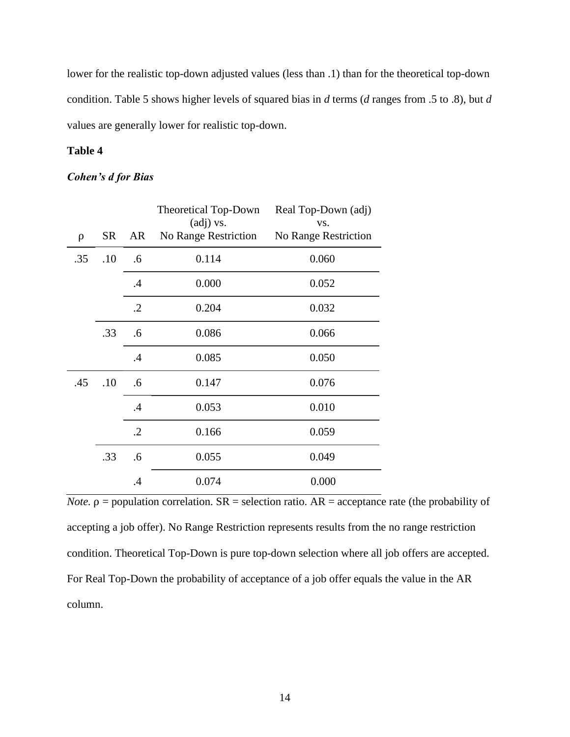lower for the realistic top-down adjusted values (less than .1) than for the theoretical top-down condition. Table 5 shows higher levels of squared bias in *d* terms (*d* ranges from .5 to .8), but *d* values are generally lower for realistic top-down.

## **Table 4**

## *Cohen's d for Bias*

|     |           |            | <b>Theoretical Top-Down</b><br>(adj) vs. | Real Top-Down (adj)<br>VS. |
|-----|-----------|------------|------------------------------------------|----------------------------|
| ρ   | <b>SR</b> | AR         | No Range Restriction                     | No Range Restriction       |
| .35 | .10       | .6         | 0.114                                    | 0.060                      |
|     |           | .4         | 0.000                                    | 0.052                      |
|     |           | $\cdot$ .2 | 0.204                                    | 0.032                      |
|     | .33       | .6         | 0.086                                    | 0.066                      |
|     |           | .4         | 0.085                                    | 0.050                      |
| .45 | .10       | .6         | 0.147                                    | 0.076                      |
|     |           | .4         | 0.053                                    | 0.010                      |
|     |           | $\cdot$ .2 | 0.166                                    | 0.059                      |
|     | .33       | .6         | 0.055                                    | 0.049                      |
|     |           | $\cdot$    | 0.074                                    | 0.000                      |

*Note.*  $\rho$  = population correlation.  $SR$  = selection ratio.  $AR$  = acceptance rate (the probability of accepting a job offer). No Range Restriction represents results from the no range restriction condition. Theoretical Top-Down is pure top-down selection where all job offers are accepted. For Real Top-Down the probability of acceptance of a job offer equals the value in the AR column.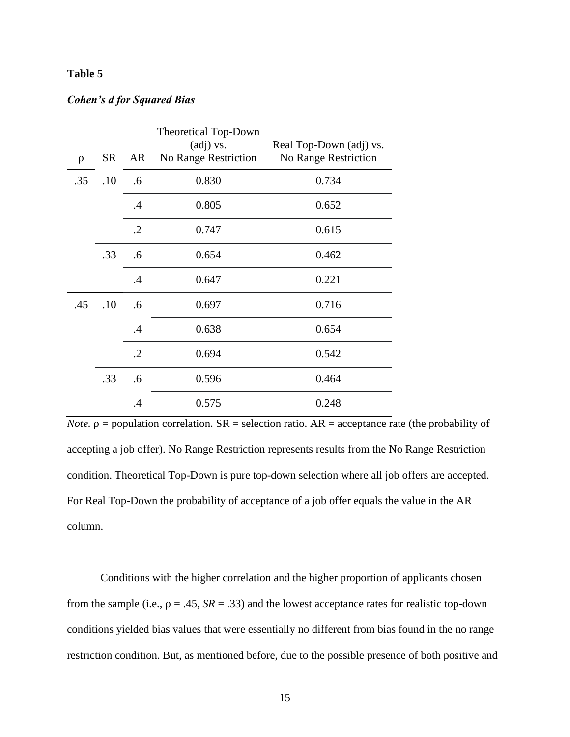## **Table 5**

## *Cohen's d for Squared Bias*

| ρ   | <b>SR</b> | AR         | <b>Theoretical Top-Down</b><br>$\left( \text{adj} \right)$ vs.<br>No Range Restriction | Real Top-Down (adj) vs.<br>No Range Restriction |
|-----|-----------|------------|----------------------------------------------------------------------------------------|-------------------------------------------------|
| .35 | .10       | .6         | 0.830                                                                                  | 0.734                                           |
|     |           | .4         | 0.805                                                                                  | 0.652                                           |
|     |           | $\cdot$ .2 | 0.747                                                                                  | 0.615                                           |
|     | .33       | .6         | 0.654                                                                                  | 0.462                                           |
|     |           | .4         | 0.647                                                                                  | 0.221                                           |
| .45 | .10       | .6         | 0.697                                                                                  | 0.716                                           |
|     |           | .4         | 0.638                                                                                  | 0.654                                           |
|     |           | $\cdot$ .2 | 0.694                                                                                  | 0.542                                           |
|     | .33       | .6         | 0.596                                                                                  | 0.464                                           |
|     |           | .4         | 0.575                                                                                  | 0.248                                           |

*Note.*  $\rho$  = population correlation.  $SR$  = selection ratio.  $AR$  = acceptance rate (the probability of accepting a job offer). No Range Restriction represents results from the No Range Restriction condition. Theoretical Top-Down is pure top-down selection where all job offers are accepted. For Real Top-Down the probability of acceptance of a job offer equals the value in the AR column.

Conditions with the higher correlation and the higher proportion of applicants chosen from the sample (i.e.,  $\rho = .45$ ,  $SR = .33$ ) and the lowest acceptance rates for realistic top-down conditions yielded bias values that were essentially no different from bias found in the no range restriction condition. But, as mentioned before, due to the possible presence of both positive and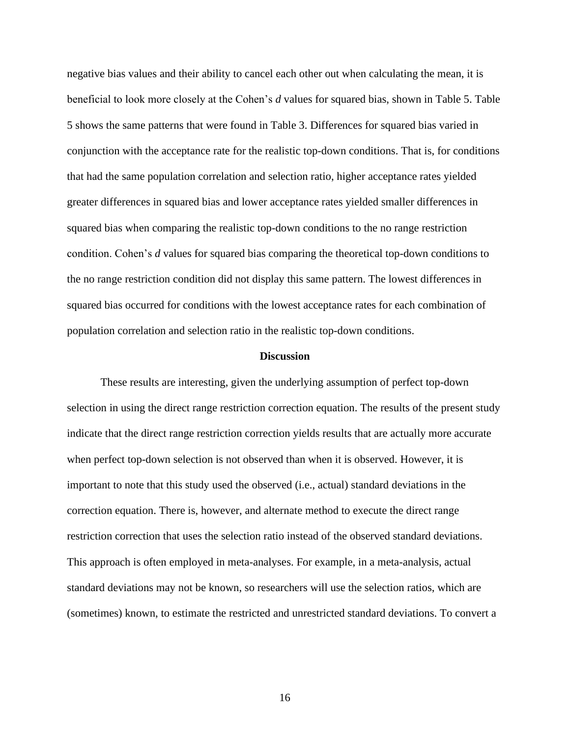negative bias values and their ability to cancel each other out when calculating the mean, it is beneficial to look more closely at the Cohen's *d* values for squared bias, shown in Table 5. Table 5 shows the same patterns that were found in Table 3. Differences for squared bias varied in conjunction with the acceptance rate for the realistic top-down conditions. That is, for conditions that had the same population correlation and selection ratio, higher acceptance rates yielded greater differences in squared bias and lower acceptance rates yielded smaller differences in squared bias when comparing the realistic top-down conditions to the no range restriction condition. Cohen's *d* values for squared bias comparing the theoretical top-down conditions to the no range restriction condition did not display this same pattern. The lowest differences in squared bias occurred for conditions with the lowest acceptance rates for each combination of population correlation and selection ratio in the realistic top-down conditions.

#### **Discussion**

These results are interesting, given the underlying assumption of perfect top-down selection in using the direct range restriction correction equation. The results of the present study indicate that the direct range restriction correction yields results that are actually more accurate when perfect top-down selection is not observed than when it is observed. However, it is important to note that this study used the observed (i.e., actual) standard deviations in the correction equation. There is, however, and alternate method to execute the direct range restriction correction that uses the selection ratio instead of the observed standard deviations. This approach is often employed in meta-analyses. For example, in a meta-analysis, actual standard deviations may not be known, so researchers will use the selection ratios, which are (sometimes) known, to estimate the restricted and unrestricted standard deviations. To convert a

16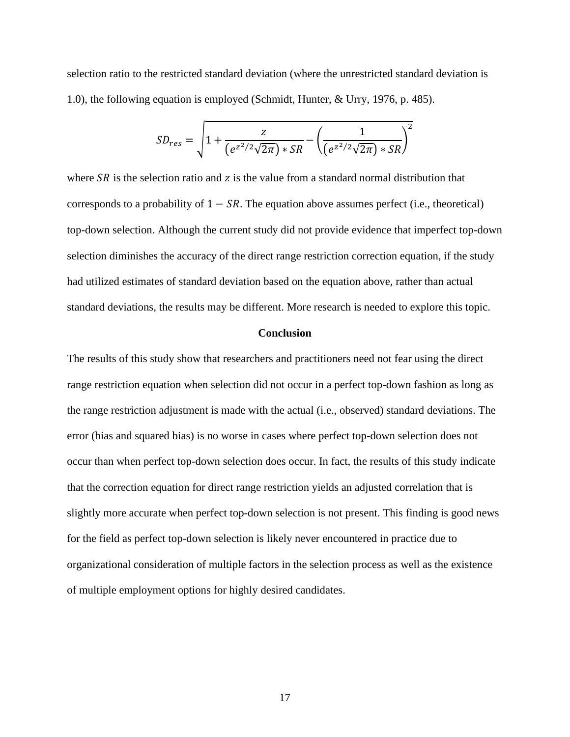selection ratio to the restricted standard deviation (where the unrestricted standard deviation is 1.0), the following equation is employed (Schmidt, Hunter, & Urry, 1976, p. 485).

$$
SD_{res} = \sqrt{1 + \frac{z}{(e^{z^2/2}\sqrt{2\pi}) * SR}} - \left(\frac{1}{(e^{z^2/2}\sqrt{2\pi}) * SR}\right)^2
$$

where  $SR$  is the selection ratio and  $\chi$  is the value from a standard normal distribution that corresponds to a probability of  $1 - SR$ . The equation above assumes perfect (i.e., theoretical) top-down selection. Although the current study did not provide evidence that imperfect top-down selection diminishes the accuracy of the direct range restriction correction equation, if the study had utilized estimates of standard deviation based on the equation above, rather than actual standard deviations, the results may be different. More research is needed to explore this topic.

## **Conclusion**

The results of this study show that researchers and practitioners need not fear using the direct range restriction equation when selection did not occur in a perfect top-down fashion as long as the range restriction adjustment is made with the actual (i.e., observed) standard deviations. The error (bias and squared bias) is no worse in cases where perfect top-down selection does not occur than when perfect top-down selection does occur. In fact, the results of this study indicate that the correction equation for direct range restriction yields an adjusted correlation that is slightly more accurate when perfect top-down selection is not present. This finding is good news for the field as perfect top-down selection is likely never encountered in practice due to organizational consideration of multiple factors in the selection process as well as the existence of multiple employment options for highly desired candidates.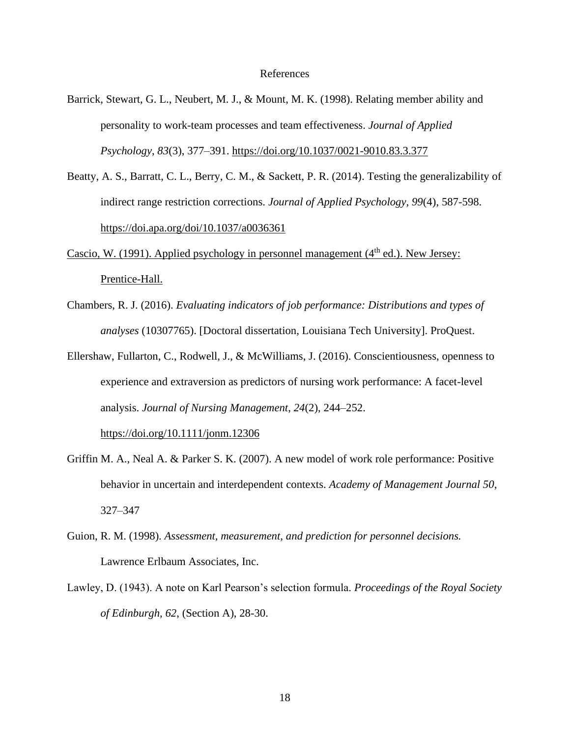#### References

- Barrick, Stewart, G. L., Neubert, M. J., & Mount, M. K. (1998). Relating member ability and personality to work-team processes and team effectiveness. *Journal of Applied Psychology*, *83*(3), 377–391. https://doi.org/10.1037/0021-9010.83.3.377
- Beatty, A. S., Barratt, C. L., Berry, C. M., & Sackett, P. R. (2014). Testing the generalizability of indirect range restriction corrections. *Journal of Applied Psychology, 99*(4), 587-598. https://doi.apa.org/doi/10.1037/a0036361
- Cascio, W. (1991). Applied psychology in personnel management  $(4<sup>th</sup>$  ed.). New Jersey: Prentice-Hall.
- Chambers, R. J. (2016). *Evaluating indicators of job performance: Distributions and types of analyses* (10307765). [Doctoral dissertation, Louisiana Tech University]. ProQuest.
- Ellershaw, Fullarton, C., Rodwell, J., & McWilliams, J. (2016). Conscientiousness, openness to experience and extraversion as predictors of nursing work performance: A facet-level analysis. *Journal of Nursing Management*, *24*(2), 244–252.

https://doi.org/10.1111/jonm.12306

- Griffin M. A., Neal A. & Parker S. K. (2007). A new model of work role performance: Positive behavior in uncertain and interdependent contexts. *Academy of Management Journal 50*, 327–347
- Guion, R. M. (1998). *Assessment, measurement, and prediction for personnel decisions.*  Lawrence Erlbaum Associates, Inc.
- Lawley, D. (1943). A note on Karl Pearson's selection formula. *Proceedings of the Royal Society of Edinburgh, 62*, (Section A), 28-30.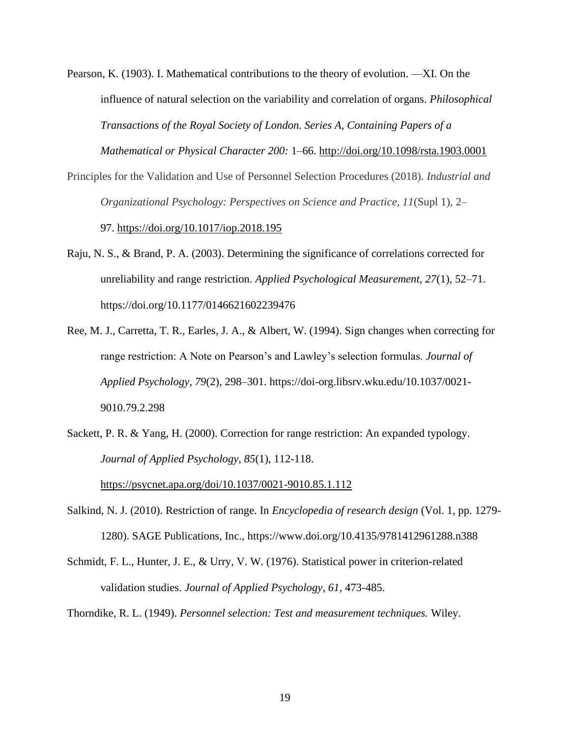Pearson, K. (1903). I. Mathematical contributions to the theory of evolution. —XI. On the influence of natural selection on the variability and correlation of organs. *Philosophical Transactions of the Royal Society of London. Series A, Containing Papers of a Mathematical or Physical Character 200:* 1–66. http://doi.org/10.1098/rsta.1903.0001

- Principles for the Validation and Use of Personnel Selection Procedures (2018). *Industrial and Organizational Psychology: Perspectives on Science and Practice, 11*(Supl 1), 2– 97. https://doi.org/10.1017/iop.2018.195
- Raju, N. S., & Brand, P. A. (2003). Determining the significance of correlations corrected for unreliability and range restriction. *Applied Psychological Measurement, 27*(1), 52–71. https://doi.org/10.1177/0146621602239476
- Ree, M. J., Carretta, T. R., Earles, J. A., & Albert, W. (1994). Sign changes when correcting for range restriction: A Note on Pearson's and Lawley's selection formulas. *Journal of Applied Psychology, 79*(2), 298–301. https://doi-org.libsrv.wku.edu/10.1037/0021- 9010.79.2.298
- Sackett, P. R. & Yang, H. (2000). Correction for range restriction: An expanded typology. *Journal of Applied Psychology, 85*(1), 112-118.

https://psycnet.apa.org/doi/10.1037/0021-9010.85.1.112

- Salkind, N. J. (2010). Restriction of range. In *Encyclopedia of research design* (Vol. 1, pp. 1279- 1280). SAGE Publications, Inc., https://www.doi.org/10.4135/9781412961288.n388
- Schmidt, F. L., Hunter, J. E., & Urry, V. W. (1976). Statistical power in criterion-related validation studies. *Journal of Applied Psychology, 61*, 473-485.

Thorndike, R. L. (1949). *Personnel selection: Test and measurement techniques.* Wiley.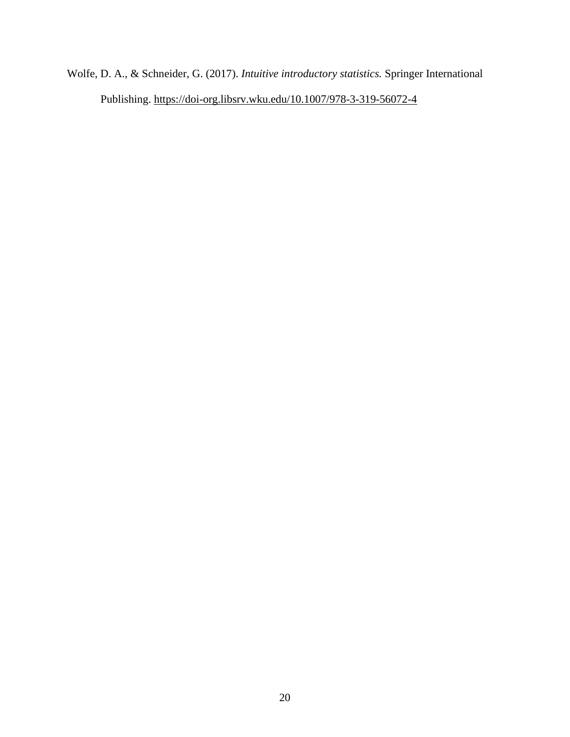Wolfe, D. A., & Schneider, G. (2017). *Intuitive introductory statistics.* Springer International Publishing. https://doi-org.libsrv.wku.edu/10.1007/978-3-319-56072-4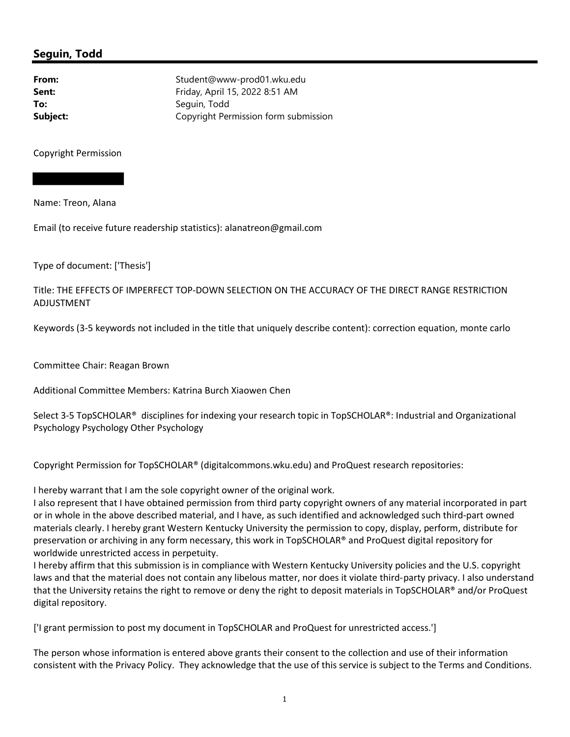## Seguin, Todd

From: Student@www-prod01.wku.edu **Sent:** Friday, April 15, 2022 8:51 AM To: Seguin, Todd **Subject:** Copyright Permission form submission

Copyright Permission

Name: Treon, Alana

Email (to receive future readership statistics): alanatreon@gmail.com

Type of document: ['Thesis']

Title: THE EFFECTS OF IMPERFECT TOP-DOWN SELECTION ON THE ACCURACY OF THE DIRECT RANGE RESTRICTION ADJUSTMENT

Keywords (3-5 keywords not included in the title that uniquely describe content): correction equation, monte carlo

Committee Chair: Reagan Brown

Additional Committee Members: Katrina Burch Xiaowen Chen

Select 3-5 TopSCHOLAR® disciplines for indexing your research topic in TopSCHOLAR®: Industrial and Organizational Psychology Psychology Other Psychology

Copyright Permission for TopSCHOLAR® (digitalcommons.wku.edu) and ProQuest research repositories:

I hereby warrant that I am the sole copyright owner of the original work.

I also represent that I have obtained permission from third party copyright owners of any material incorporated in part or in whole in the above described material, and I have, as such identified and acknowledged such third-part owned materials clearly. I hereby grant Western Kentucky University the permission to copy, display, perform, distribute for preservation or archiving in any form necessary, this work in TopSCHOLAR® and ProQuest digital repository for worldwide unrestricted access in perpetuity.

I hereby affirm that this submission is in compliance with Western Kentucky University policies and the U.S. copyright laws and that the material does not contain any libelous matter, nor does it violate third-party privacy. I also understand that the University retains the right to remove or deny the right to deposit materials in TopSCHOLAR® and/or ProQuest digital repository.

['I grant permission to post my document in TopSCHOLAR and ProQuest for unrestricted access.']

The person whose information is entered above grants their consent to the collection and use of their information consistent with the Privacy Policy. They acknowledge that the use of this service is subject to the Terms and Conditions.